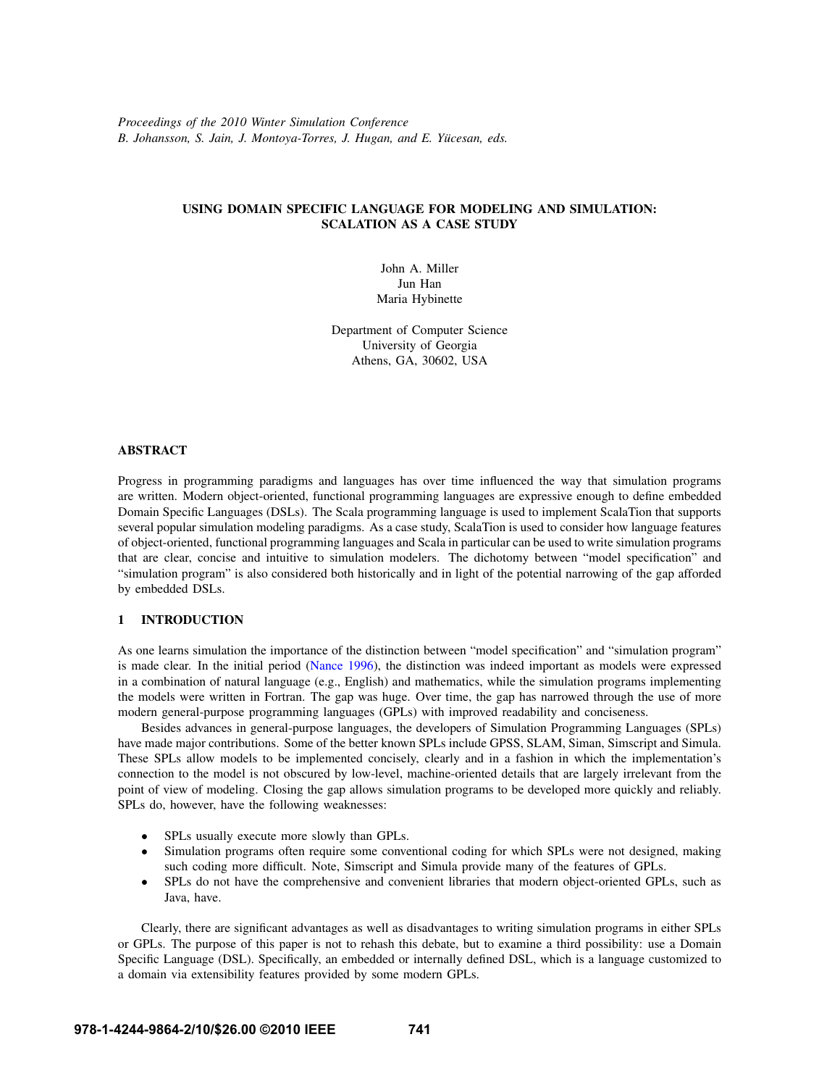*Proceedings of the 2010 Winter Simulation Conference B. Johansson, S. Jain, J. Montoya-Torres, J. Hugan, and E. Yucesan, eds. ¨*

# USING DOMAIN SPECIFIC LANGUAGE FOR MODELING AND SIMULATION: SCALATION AS A CASE STUDY

John A. Miller Jun Han Maria Hybinette

Department of Computer Science University of Georgia Athens, GA, 30602, USA

### ABSTRACT

Progress in programming paradigms and languages has over time influenced the way that simulation programs are written. Modern object-oriented, functional programming languages are expressive enough to define embedded Domain Specific Languages (DSLs). The Scala programming language is used to implement ScalaTion that supports several popular simulation modeling paradigms. As a case study, ScalaTion is used to consider how language features of object-oriented, functional programming languages and Scala in particular can be used to write simulation programs that are clear, concise and intuitive to simulation modelers. The dichotomy between "model specification" and "simulation program" is also considered both historically and in light of the potential narrowing of the gap afforded by embedded DSLs.

### 1 INTRODUCTION

As one learns simulation the importance of the distinction between "model specification" and "simulation program" is made clear. In the initial period (Nance 1996), the distinction was indeed important as models were expressed in a combination of natural language (e.g., English) and mathematics, while the simulation programs implementing the models were written in Fortran. The gap was huge. Over time, the gap has narrowed through the use of more modern general-purpose programming languages (GPLs) with improved readability and conciseness.

Besides advances in general-purpose languages, the developers of Simulation Programming Languages (SPLs) have made major contributions. Some of the better known SPLs include GPSS, SLAM, Siman, Simscript and Simula. These SPLs allow models to be implemented concisely, clearly and in a fashion in which the implementation's connection to the model is not obscured by low-level, machine-oriented details that are largely irrelevant from the point of view of modeling. Closing the gap allows simulation programs to be developed more quickly and reliably. SPLs do, however, have the following weaknesses:

- SPLs usually execute more slowly than GPLs.
- Simulation programs often require some conventional coding for which SPLs were not designed, making such coding more difficult. Note, Simscript and Simula provide many of the features of GPLs.
- SPLs do not have the comprehensive and convenient libraries that modern object-oriented GPLs, such as Java, have.

Clearly, there are significant advantages as well as disadvantages to writing simulation programs in either SPLs or GPLs. The purpose of this paper is not to rehash this debate, but to examine a third possibility: use a Domain Specific Language (DSL). Specifically, an embedded or internally defined DSL, which is a language customized to a domain via extensibility features provided by some modern GPLs.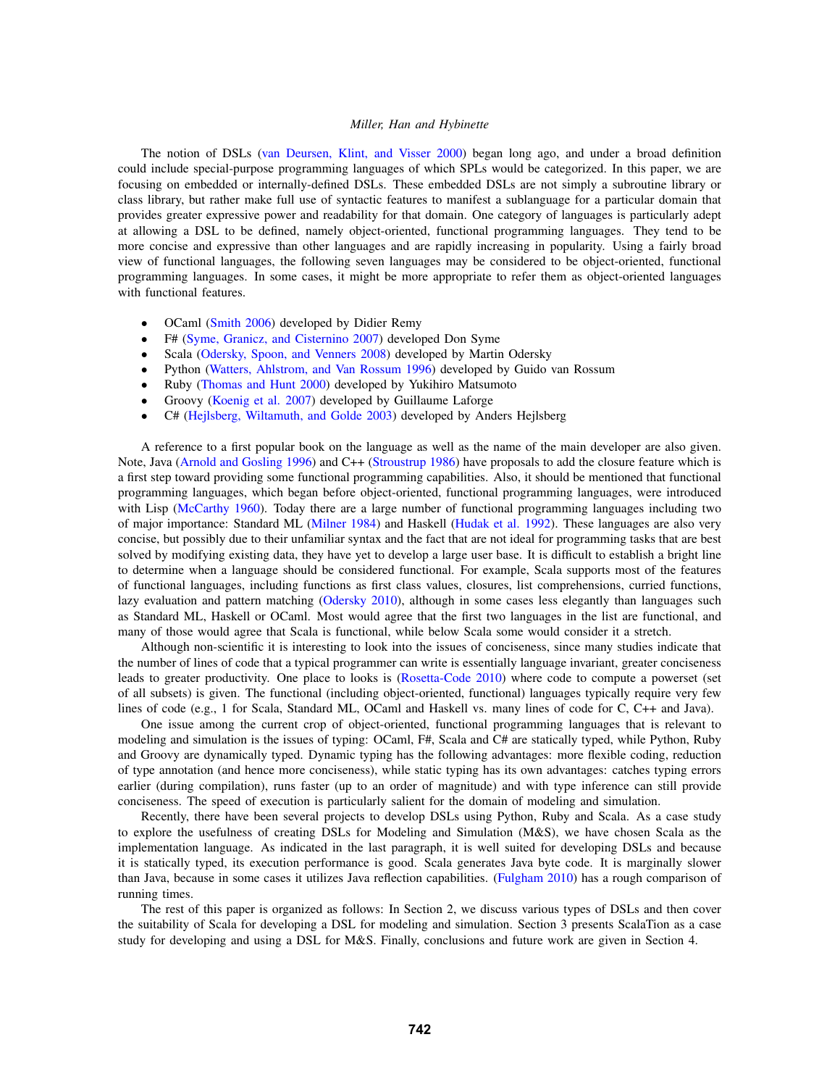The notion of DSLs (van Deursen, Klint, and Visser 2000) began long ago, and under a broad definition could include special-purpose programming languages of which SPLs would be categorized. In this paper, we are focusing on embedded or internally-defined DSLs. These embedded DSLs are not simply a subroutine library or class library, but rather make full use of syntactic features to manifest a sublanguage for a particular domain that provides greater expressive power and readability for that domain. One category of languages is particularly adept at allowing a DSL to be defined, namely object-oriented, functional programming languages. They tend to be more concise and expressive than other languages and are rapidly increasing in popularity. Using a fairly broad view of functional languages, the following seven languages may be considered to be object-oriented, functional programming languages. In some cases, it might be more appropriate to refer them as object-oriented languages with functional features.

- OCaml (Smith 2006) developed by Didier Remy
- F# (Syme, Granicz, and Cisternino 2007) developed Don Syme
- Scala (Odersky, Spoon, and Venners 2008) developed by Martin Odersky
- Python (Watters, Ahlstrom, and Van Rossum 1996) developed by Guido van Rossum
- Ruby (Thomas and Hunt 2000) developed by Yukihiro Matsumoto
- Groovy (Koenig et al. 2007) developed by Guillaume Laforge
- C# (Hejlsberg, Wiltamuth, and Golde 2003) developed by Anders Hejlsberg

A reference to a first popular book on the language as well as the name of the main developer are also given. Note, Java (Arnold and Gosling 1996) and C++ (Stroustrup 1986) have proposals to add the closure feature which is a first step toward providing some functional programming capabilities. Also, it should be mentioned that functional programming languages, which began before object-oriented, functional programming languages, were introduced with Lisp (McCarthy 1960). Today there are a large number of functional programming languages including two of major importance: Standard ML (Milner 1984) and Haskell (Hudak et al. 1992). These languages are also very concise, but possibly due to their unfamiliar syntax and the fact that are not ideal for programming tasks that are best solved by modifying existing data, they have yet to develop a large user base. It is difficult to establish a bright line to determine when a language should be considered functional. For example, Scala supports most of the features of functional languages, including functions as first class values, closures, list comprehensions, curried functions, lazy evaluation and pattern matching (Odersky 2010), although in some cases less elegantly than languages such as Standard ML, Haskell or OCaml. Most would agree that the first two languages in the list are functional, and many of those would agree that Scala is functional, while below Scala some would consider it a stretch.

Although non-scientific it is interesting to look into the issues of conciseness, since many studies indicate that the number of lines of code that a typical programmer can write is essentially language invariant, greater conciseness leads to greater productivity. One place to looks is (Rosetta-Code 2010) where code to compute a powerset (set of all subsets) is given. The functional (including object-oriented, functional) languages typically require very few lines of code (e.g., 1 for Scala, Standard ML, OCaml and Haskell vs. many lines of code for C, C++ and Java).

One issue among the current crop of object-oriented, functional programming languages that is relevant to modeling and simulation is the issues of typing: OCaml, F#, Scala and C# are statically typed, while Python, Ruby and Groovy are dynamically typed. Dynamic typing has the following advantages: more flexible coding, reduction of type annotation (and hence more conciseness), while static typing has its own advantages: catches typing errors earlier (during compilation), runs faster (up to an order of magnitude) and with type inference can still provide conciseness. The speed of execution is particularly salient for the domain of modeling and simulation.

Recently, there have been several projects to develop DSLs using Python, Ruby and Scala. As a case study to explore the usefulness of creating DSLs for Modeling and Simulation (M&S), we have chosen Scala as the implementation language. As indicated in the last paragraph, it is well suited for developing DSLs and because it is statically typed, its execution performance is good. Scala generates Java byte code. It is marginally slower than Java, because in some cases it utilizes Java reflection capabilities. (Fulgham 2010) has a rough comparison of running times.

The rest of this paper is organized as follows: In Section 2, we discuss various types of DSLs and then cover the suitability of Scala for developing a DSL for modeling and simulation. Section 3 presents ScalaTion as a case study for developing and using a DSL for M&S. Finally, conclusions and future work are given in Section 4.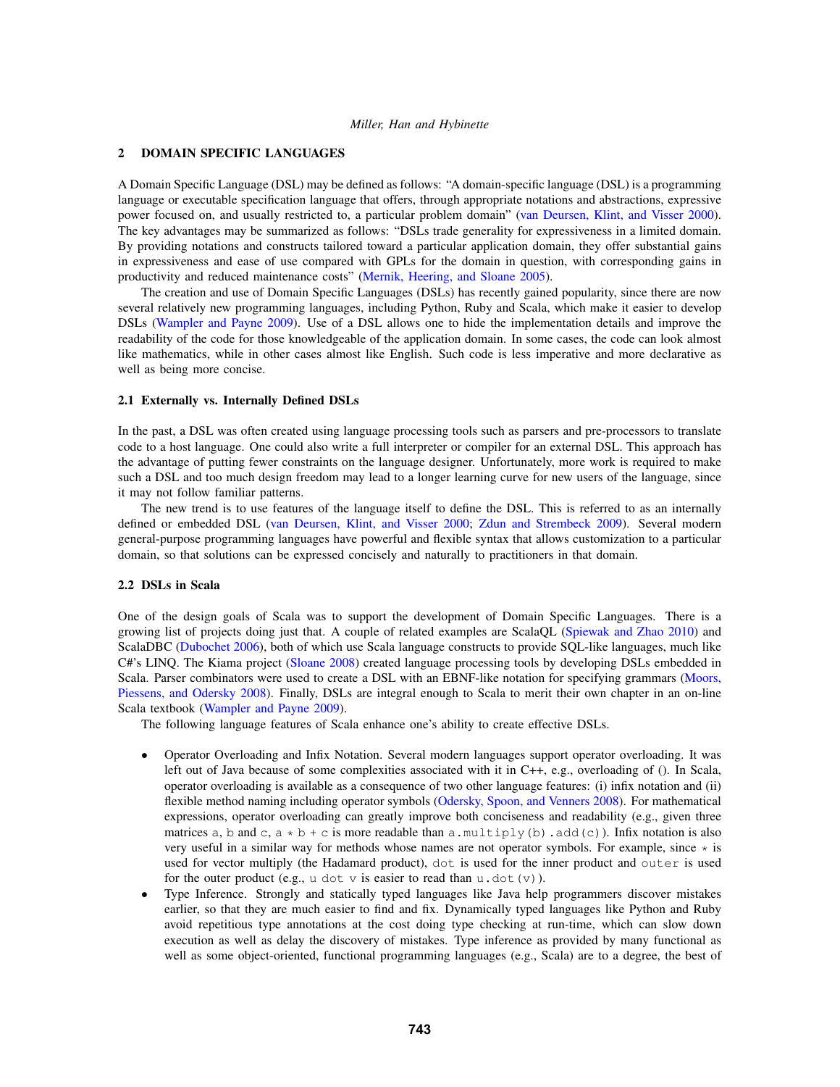# 2 DOMAIN SPECIFIC LANGUAGES

A Domain Specific Language (DSL) may be defined as follows: "A domain-specific language (DSL) is a programming language or executable specification language that offers, through appropriate notations and abstractions, expressive power focused on, and usually restricted to, a particular problem domain" (van Deursen, Klint, and Visser 2000). The key advantages may be summarized as follows: "DSLs trade generality for expressiveness in a limited domain. By providing notations and constructs tailored toward a particular application domain, they offer substantial gains in expressiveness and ease of use compared with GPLs for the domain in question, with corresponding gains in productivity and reduced maintenance costs" (Mernik, Heering, and Sloane 2005).

The creation and use of Domain Specific Languages (DSLs) has recently gained popularity, since there are now several relatively new programming languages, including Python, Ruby and Scala, which make it easier to develop DSLs (Wampler and Payne 2009). Use of a DSL allows one to hide the implementation details and improve the readability of the code for those knowledgeable of the application domain. In some cases, the code can look almost like mathematics, while in other cases almost like English. Such code is less imperative and more declarative as well as being more concise.

# 2.1 Externally vs. Internally Defined DSLs

In the past, a DSL was often created using language processing tools such as parsers and pre-processors to translate code to a host language. One could also write a full interpreter or compiler for an external DSL. This approach has the advantage of putting fewer constraints on the language designer. Unfortunately, more work is required to make such a DSL and too much design freedom may lead to a longer learning curve for new users of the language, since it may not follow familiar patterns.

The new trend is to use features of the language itself to define the DSL. This is referred to as an internally defined or embedded DSL (van Deursen, Klint, and Visser 2000; Zdun and Strembeck 2009). Several modern general-purpose programming languages have powerful and flexible syntax that allows customization to a particular domain, so that solutions can be expressed concisely and naturally to practitioners in that domain.

### 2.2 DSLs in Scala

One of the design goals of Scala was to support the development of Domain Specific Languages. There is a growing list of projects doing just that. A couple of related examples are ScalaQL (Spiewak and Zhao 2010) and ScalaDBC (Dubochet 2006), both of which use Scala language constructs to provide SQL-like languages, much like C#'s LINQ. The Kiama project (Sloane 2008) created language processing tools by developing DSLs embedded in Scala. Parser combinators were used to create a DSL with an EBNF-like notation for specifying grammars (Moors, Piessens, and Odersky 2008). Finally, DSLs are integral enough to Scala to merit their own chapter in an on-line Scala textbook (Wampler and Payne 2009).

The following language features of Scala enhance one's ability to create effective DSLs.

- Operator Overloading and Infix Notation. Several modern languages support operator overloading. It was left out of Java because of some complexities associated with it in C++, e.g., overloading of (). In Scala, operator overloading is available as a consequence of two other language features: (i) infix notation and (ii) flexible method naming including operator symbols (Odersky, Spoon, and Venners 2008). For mathematical expressions, operator overloading can greatly improve both conciseness and readability (e.g., given three matrices a, b and c,  $a * b + c$  is more readable than a. multiply(b). add(c)). Infix notation is also very useful in a similar way for methods whose names are not operator symbols. For example, since  $\star$  is used for vector multiply (the Hadamard product), dot is used for the inner product and outer is used for the outer product (e.g., u dot v is easier to read than  $u \cdot dot(v)$ ).
- Type Inference. Strongly and statically typed languages like Java help programmers discover mistakes earlier, so that they are much easier to find and fix. Dynamically typed languages like Python and Ruby avoid repetitious type annotations at the cost doing type checking at run-time, which can slow down execution as well as delay the discovery of mistakes. Type inference as provided by many functional as well as some object-oriented, functional programming languages (e.g., Scala) are to a degree, the best of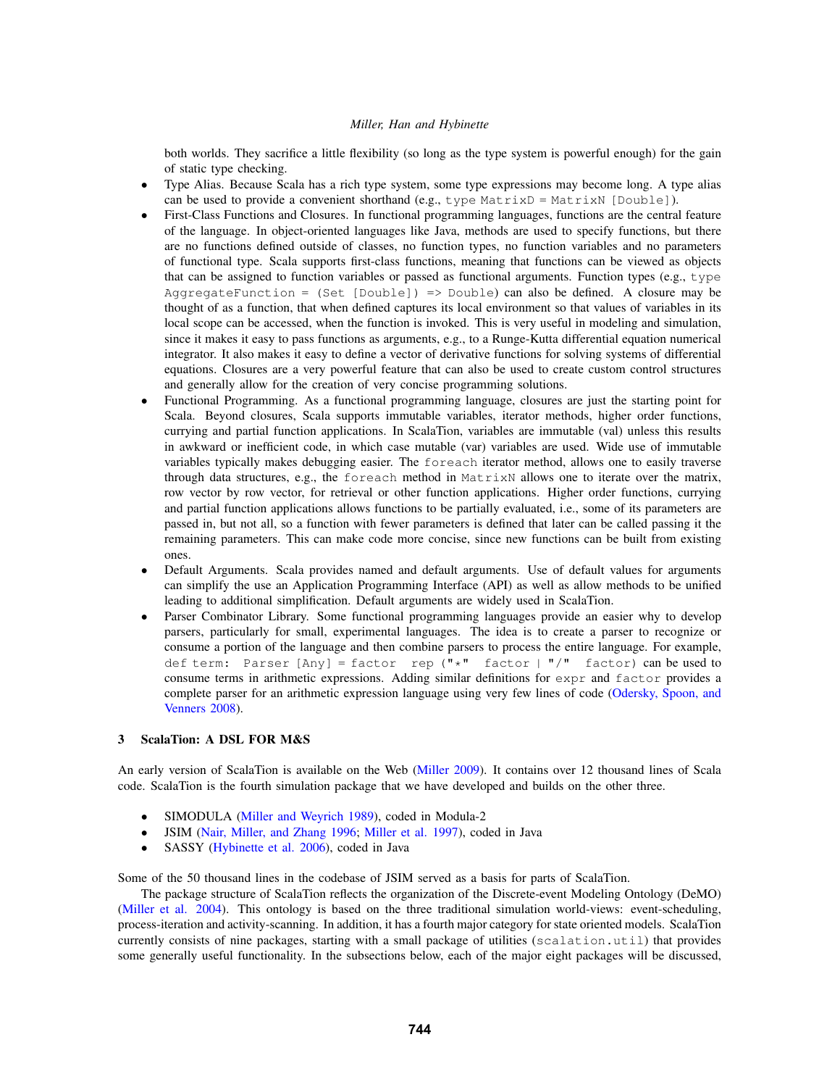both worlds. They sacrifice a little flexibility (so long as the type system is powerful enough) for the gain of static type checking.

- Type Alias. Because Scala has a rich type system, some type expressions may become long. A type alias can be used to provide a convenient shorthand (e.g., type  $MatrixD = MatrixN$  [Double]).
- First-Class Functions and Closures. In functional programming languages, functions are the central feature of the language. In object-oriented languages like Java, methods are used to specify functions, but there are no functions defined outside of classes, no function types, no function variables and no parameters of functional type. Scala supports first-class functions, meaning that functions can be viewed as objects that can be assigned to function variables or passed as functional arguments. Function types (e.g., type AggregateFunction = (Set [Double]) => Double) can also be defined. A closure may be thought of as a function, that when defined captures its local environment so that values of variables in its local scope can be accessed, when the function is invoked. This is very useful in modeling and simulation, since it makes it easy to pass functions as arguments, e.g., to a Runge-Kutta differential equation numerical integrator. It also makes it easy to define a vector of derivative functions for solving systems of differential equations. Closures are a very powerful feature that can also be used to create custom control structures and generally allow for the creation of very concise programming solutions.
- Functional Programming. As a functional programming language, closures are just the starting point for Scala. Beyond closures, Scala supports immutable variables, iterator methods, higher order functions, currying and partial function applications. In ScalaTion, variables are immutable (val) unless this results in awkward or inefficient code, in which case mutable (var) variables are used. Wide use of immutable variables typically makes debugging easier. The foreach iterator method, allows one to easily traverse through data structures, e.g., the foreach method in  $Matrix$  allows one to iterate over the matrix, row vector by row vector, for retrieval or other function applications. Higher order functions, currying and partial function applications allows functions to be partially evaluated, i.e., some of its parameters are passed in, but not all, so a function with fewer parameters is defined that later can be called passing it the remaining parameters. This can make code more concise, since new functions can be built from existing ones.
- Default Arguments. Scala provides named and default arguments. Use of default values for arguments can simplify the use an Application Programming Interface (API) as well as allow methods to be unified leading to additional simplification. Default arguments are widely used in ScalaTion.
- Parser Combinator Library. Some functional programming languages provide an easier why to develop parsers, particularly for small, experimental languages. The idea is to create a parser to recognize or consume a portion of the language and then combine parsers to process the entire language. For example, def term: Parser [Any] = factor rep  $("*"$  factor | "/" factor) can be used to consume terms in arithmetic expressions. Adding similar definitions for expr and factor provides a complete parser for an arithmetic expression language using very few lines of code (Odersky, Spoon, and Venners 2008).

# 3 ScalaTion: A DSL FOR M&S

An early version of ScalaTion is available on the Web (Miller 2009). It contains over 12 thousand lines of Scala code. ScalaTion is the fourth simulation package that we have developed and builds on the other three.

- SIMODULA (Miller and Weyrich 1989), coded in Modula-2
- JSIM (Nair, Miller, and Zhang 1996; Miller et al. 1997), coded in Java
- SASSY (Hybinette et al. 2006), coded in Java

Some of the 50 thousand lines in the codebase of JSIM served as a basis for parts of ScalaTion.

The package structure of ScalaTion reflects the organization of the Discrete-event Modeling Ontology (DeMO) (Miller et al. 2004). This ontology is based on the three traditional simulation world-views: event-scheduling, process-iteration and activity-scanning. In addition, it has a fourth major category for state oriented models. ScalaTion currently consists of nine packages, starting with a small package of utilities (scalation.util) that provides some generally useful functionality. In the subsections below, each of the major eight packages will be discussed,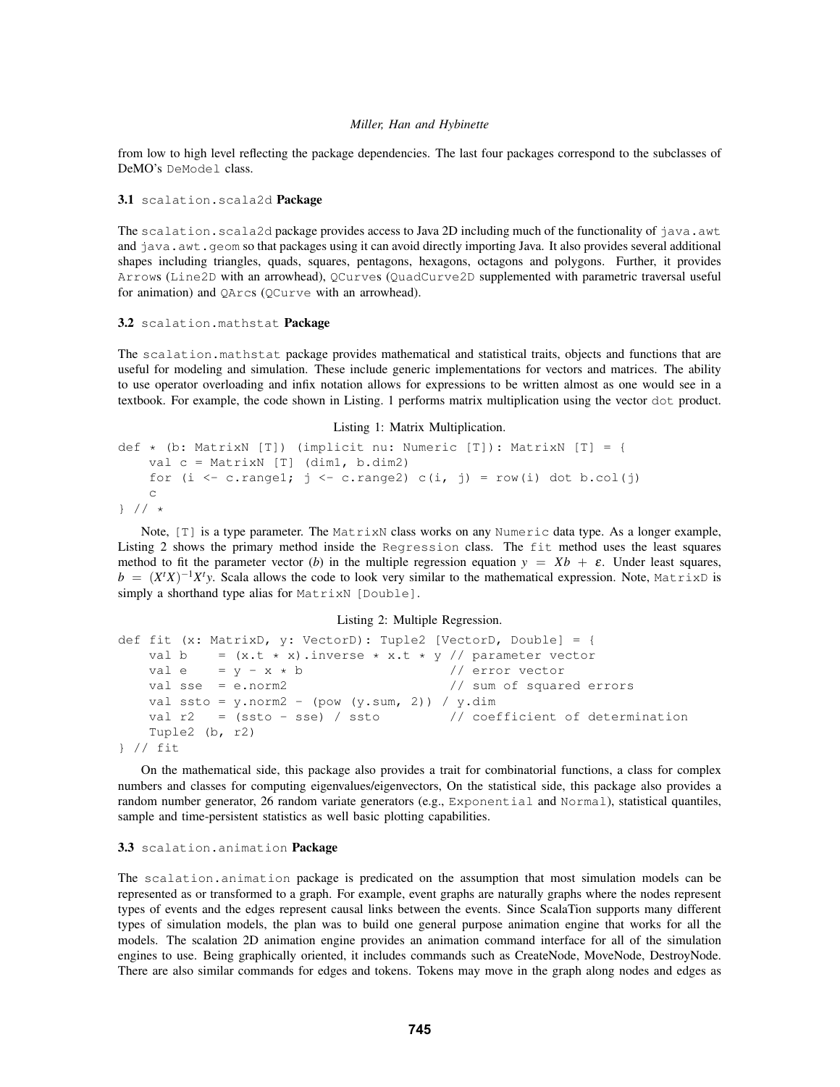from low to high level reflecting the package dependencies. The last four packages correspond to the subclasses of DeMO's DeModel class.

### 3.1 scalation.scala2d Package

The scalation. scala2d package provides access to Java 2D including much of the functionality of java.awt and java.awt.geom so that packages using it can avoid directly importing Java. It also provides several additional shapes including triangles, quads, squares, pentagons, hexagons, octagons and polygons. Further, it provides Arrows (Line2D with an arrowhead), QCurves (QuadCurve2D supplemented with parametric traversal useful for animation) and QArcs (QCurve with an arrowhead).

### 3.2 scalation.mathstat Package

The scalation.mathstat package provides mathematical and statistical traits, objects and functions that are useful for modeling and simulation. These include generic implementations for vectors and matrices. The ability to use operator overloading and infix notation allows for expressions to be written almost as one would see in a textbook. For example, the code shown in Listing. 1 performs matrix multiplication using the vector dot product.

#### Listing 1: Matrix Multiplication.

```
def * (b: MatrixN [T]) (implicit nu: Numeric [T]): MatrixN [T] = {
    val c = MatrixN [T] (dim1, b.dim2)
    for (i <- c.range1; j <- c.range2) c(i, j) = row(i) dot b.col(j)
    \overline{C}} // \star
```
Note,  $[T]$  is a type parameter. The MatrixN class works on any Numeric data type. As a longer example, Listing 2 shows the primary method inside the Regression class. The fit method uses the least squares method to fit the parameter vector (*b*) in the multiple regression equation  $y = Xb + \varepsilon$ . Under least squares,  $b = (X^t X)^{-1} X^t y$ . Scala allows the code to look very similar to the mathematical expression. Note, MatrixD is simply a shorthand type alias for MatrixN [Double].

### Listing 2: Multiple Regression.

```
def fit (x: MatrixD, y: VectorD): Tuple2 [VectorD, Double] = {
    val b = (x.t * x) .inverse * x.t * y // parameter vector<br>val e = y - x * b // error vector
    val e = y - x * b // error vector<br>val sse = e.norm2 // sum of square
                                                // sum of squared errors
    val ssto = y.norm2 - (pow (y.sum, 2)) / y.dimval r2 = (ssto - sse) / ssto // coefficient of determination
    Tuple2 (b, r2)
} // fit
```
On the mathematical side, this package also provides a trait for combinatorial functions, a class for complex numbers and classes for computing eigenvalues/eigenvectors, On the statistical side, this package also provides a random number generator, 26 random variate generators (e.g., Exponential and Normal), statistical quantiles, sample and time-persistent statistics as well basic plotting capabilities.

### 3.3 scalation.animation Package

The scalation.animation package is predicated on the assumption that most simulation models can be represented as or transformed to a graph. For example, event graphs are naturally graphs where the nodes represent types of events and the edges represent causal links between the events. Since ScalaTion supports many different types of simulation models, the plan was to build one general purpose animation engine that works for all the models. The scalation 2D animation engine provides an animation command interface for all of the simulation engines to use. Being graphically oriented, it includes commands such as CreateNode, MoveNode, DestroyNode. There are also similar commands for edges and tokens. Tokens may move in the graph along nodes and edges as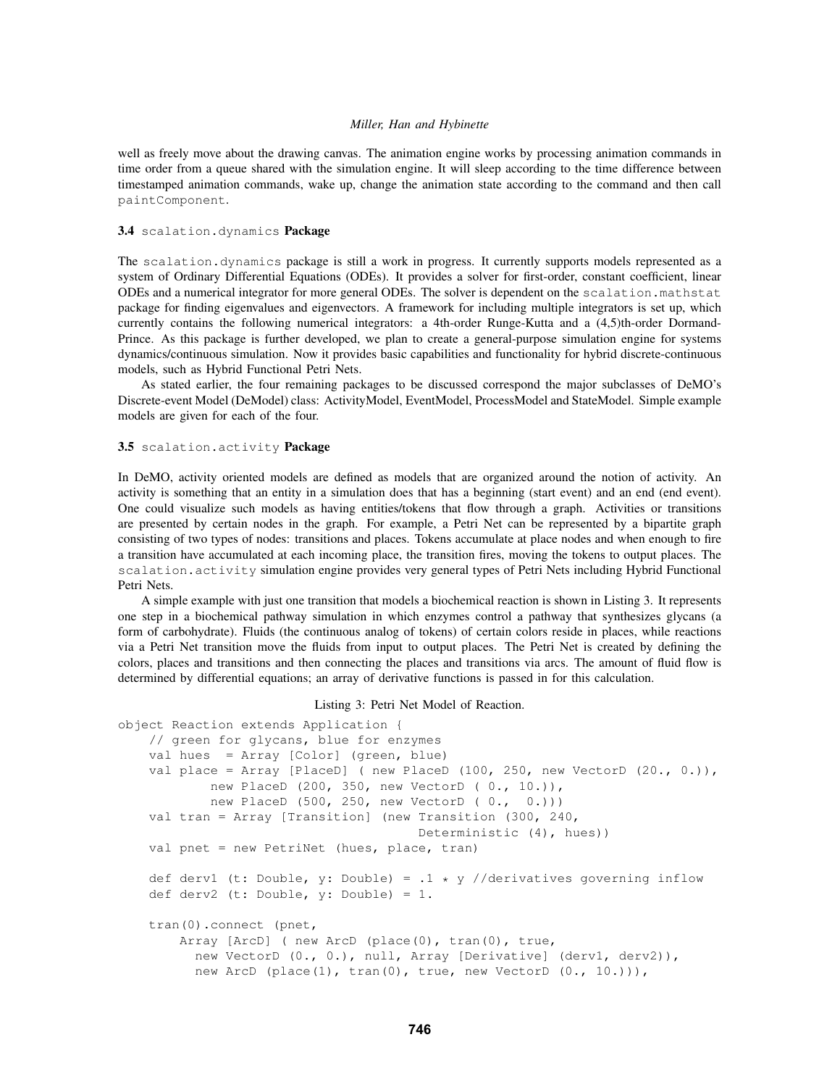well as freely move about the drawing canvas. The animation engine works by processing animation commands in time order from a queue shared with the simulation engine. It will sleep according to the time difference between timestamped animation commands, wake up, change the animation state according to the command and then call paintComponent.

#### 3.4 scalation.dynamics Package

The scalation.dynamics package is still a work in progress. It currently supports models represented as a system of Ordinary Differential Equations (ODEs). It provides a solver for first-order, constant coefficient, linear ODEs and a numerical integrator for more general ODEs. The solver is dependent on the scalation.mathstat package for finding eigenvalues and eigenvectors. A framework for including multiple integrators is set up, which currently contains the following numerical integrators: a 4th-order Runge-Kutta and a (4,5)th-order Dormand-Prince. As this package is further developed, we plan to create a general-purpose simulation engine for systems dynamics/continuous simulation. Now it provides basic capabilities and functionality for hybrid discrete-continuous models, such as Hybrid Functional Petri Nets.

As stated earlier, the four remaining packages to be discussed correspond the major subclasses of DeMO's Discrete-event Model (DeModel) class: ActivityModel, EventModel, ProcessModel and StateModel. Simple example models are given for each of the four.

### 3.5 scalation.activity Package

In DeMO, activity oriented models are defined as models that are organized around the notion of activity. An activity is something that an entity in a simulation does that has a beginning (start event) and an end (end event). One could visualize such models as having entities/tokens that flow through a graph. Activities or transitions are presented by certain nodes in the graph. For example, a Petri Net can be represented by a bipartite graph consisting of two types of nodes: transitions and places. Tokens accumulate at place nodes and when enough to fire a transition have accumulated at each incoming place, the transition fires, moving the tokens to output places. The scalation.activity simulation engine provides very general types of Petri Nets including Hybrid Functional Petri Nets.

A simple example with just one transition that models a biochemical reaction is shown in Listing 3. It represents one step in a biochemical pathway simulation in which enzymes control a pathway that synthesizes glycans (a form of carbohydrate). Fluids (the continuous analog of tokens) of certain colors reside in places, while reactions via a Petri Net transition move the fluids from input to output places. The Petri Net is created by defining the colors, places and transitions and then connecting the places and transitions via arcs. The amount of fluid flow is determined by differential equations; an array of derivative functions is passed in for this calculation.

#### Listing 3: Petri Net Model of Reaction.

```
object Reaction extends Application {
    // green for glycans, blue for enzymes
    val hues = Array [Color] (green, blue)
    val place = Array [PlaceD] ( new PlaceD (100, 250, new VectorD (20., 0.)),
            new PlaceD (200, 350, new VectorD ( 0., 10.)),
            new PlaceD (500, 250, new VectorD ( 0., 0.)))
    val tran = Array [Transition] (new Transition (300, 240,
                                       Deterministic (4), hues))
    val pnet = new PetriNet (hues, place, tran)
    def derv1 (t: Double, y: Double) = .1 \times y //derivatives governing inflow
    def derv2 (t: Double, v: Double) = 1.
    tran(0).connect (pnet,
        Array [ArcD] ( new ArcD (place(0), tran(0), true,
          new VectorD (0., 0.), null, Array [Derivative] (derv1, derv2)),
          new ArcD (place(1), tran(0), true, new VectorD (0., 10.))),
```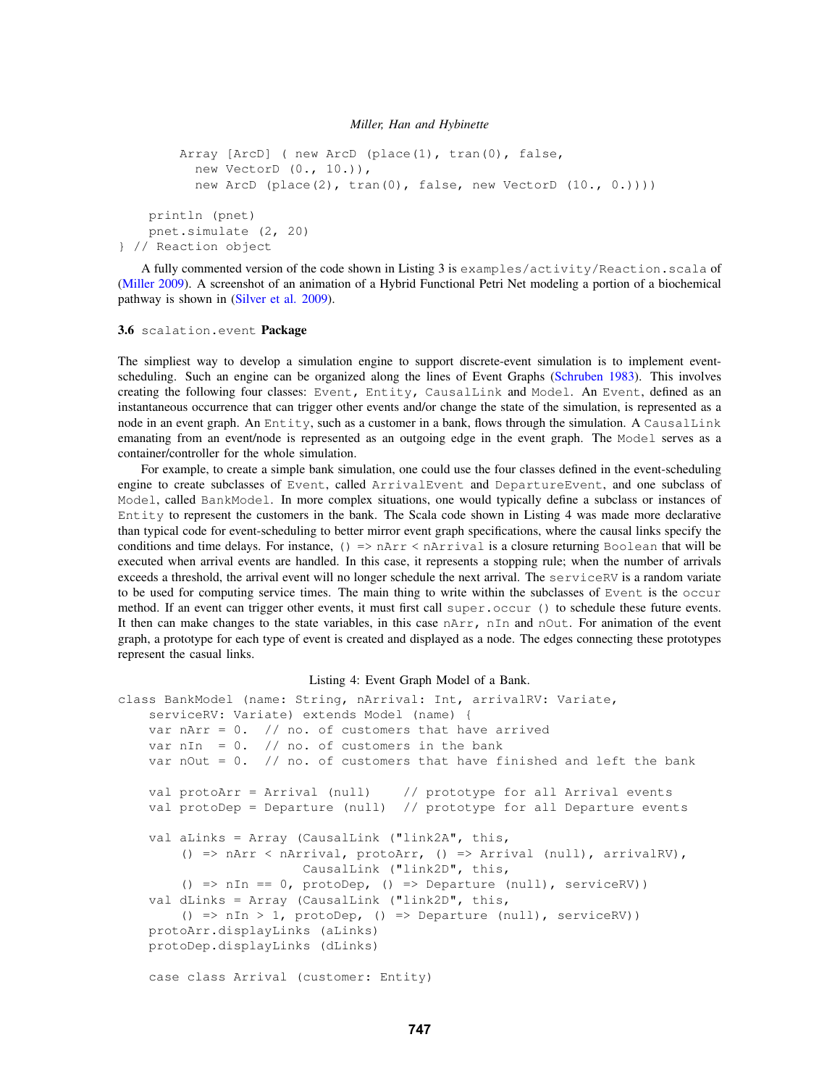```
Array [ArcD] ( new ArcD (place(1), tran(0), false,
         new VectorD (0., 10.)),
         new ArcD (place(2), tran(0), false, new VectorD (10., 0.)))
   println (pnet)
   pnet.simulate (2, 20)
} // Reaction object
```
A fully commented version of the code shown in Listing 3 is examples/activity/Reaction.scala of (Miller 2009). A screenshot of an animation of a Hybrid Functional Petri Net modeling a portion of a biochemical pathway is shown in (Silver et al. 2009).

### 3.6 scalation.event Package

The simpliest way to develop a simulation engine to support discrete-event simulation is to implement eventscheduling. Such an engine can be organized along the lines of Event Graphs (Schruben 1983). This involves creating the following four classes: Event, Entity, CausalLink and Model. An Event, defined as an instantaneous occurrence that can trigger other events and/or change the state of the simulation, is represented as a node in an event graph. An Entity, such as a customer in a bank, flows through the simulation. A CausalLink emanating from an event/node is represented as an outgoing edge in the event graph. The Model serves as a container/controller for the whole simulation.

For example, to create a simple bank simulation, one could use the four classes defined in the event-scheduling engine to create subclasses of Event, called ArrivalEvent and DepartureEvent, and one subclass of Model, called BankModel. In more complex situations, one would typically define a subclass or instances of Entity to represent the customers in the bank. The Scala code shown in Listing 4 was made more declarative than typical code for event-scheduling to better mirror event graph specifications, where the causal links specify the conditions and time delays. For instance,  $()$  => nArr < nArrival is a closure returning Boolean that will be executed when arrival events are handled. In this case, it represents a stopping rule; when the number of arrivals exceeds a threshold, the arrival event will no longer schedule the next arrival. The serviceRV is a random variate to be used for computing service times. The main thing to write within the subclasses of Event is the occur method. If an event can trigger other events, it must first call super. occur () to schedule these future events. It then can make changes to the state variables, in this case nArr, nIn and nOut. For animation of the event graph, a prototype for each type of event is created and displayed as a node. The edges connecting these prototypes represent the casual links.

#### Listing 4: Event Graph Model of a Bank.

```
class BankModel (name: String, nArrival: Int, arrivalRV: Variate,
   serviceRV: Variate) extends Model (name) {
   var nArr = 0. // no. of customers that have arrived
   var nIn = 0. // no. of customers in the bank
    var nOut = 0. // no. of customers that have finished and left the bank
   val protoArr = Arrival (null) // prototype for all Arrival events
   val protoDep = Departure (null) // prototype for all Departure events
   val aLinks = Array (CausalLink ("link2A", this,
        () => nArr < nArrival, protoArr, () => Arrival (null), arrivalRV),
                       CausalLink ("link2D", this,
        () => nIn == 0, protoDep, () => Department null, server))
    val dLinks = Array (CausalLink ("link2D", this,
        () => nIn > 1, proto Dep, () => Department (null), server))
    protoArr.displayLinks (aLinks)
   protoDep.displayLinks (dLinks)
    case class Arrival (customer: Entity)
```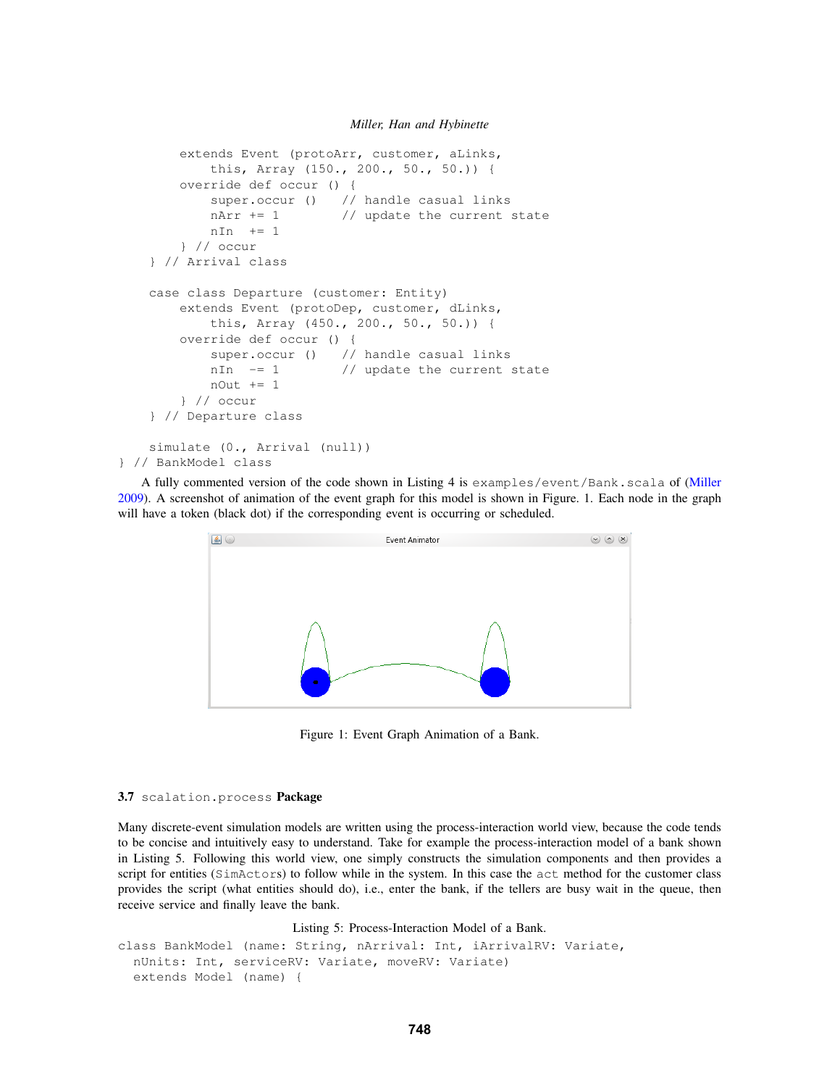```
extends Event (protoArr, customer, aLinks,
           this, Array (150., 200., 50., 50.)) {
       override def occur () {
           super.occur () // handle casual links
           nArr += 1 // update the current state
           nIn += 1
       } // occur
   } // Arrival class
   case class Departure (customer: Entity)
       extends Event (protoDep, customer, dLinks,
           this, Array (450., 200., 50., 50.)) {
       override def occur () {
           super.occur () // handle casual links
           nIn -= 1 // update the current state
           nOut += 1
       } // occur
   } // Departure class
   simulate (0., Arrival (null))
} // BankModel class
```
A fully commented version of the code shown in Listing 4 is examples/event/Bank.scala of (Miller 2009). A screenshot of animation of the event graph for this model is shown in Figure. 1. Each node in the graph will have a token (black dot) if the corresponding event is occurring or scheduled.



Figure 1: Event Graph Animation of a Bank.

#### 3.7 scalation.process Package

Many discrete-event simulation models are written using the process-interaction world view, because the code tends to be concise and intuitively easy to understand. Take for example the process-interaction model of a bank shown in Listing 5. Following this world view, one simply constructs the simulation components and then provides a script for entities (SimActors) to follow while in the system. In this case the act method for the customer class provides the script (what entities should do), i.e., enter the bank, if the tellers are busy wait in the queue, then receive service and finally leave the bank.

Listing 5: Process-Interaction Model of a Bank.

```
class BankModel (name: String, nArrival: Int, iArrivalRV: Variate,
 nUnits: Int, serviceRV: Variate, moveRV: Variate)
 extends Model (name) {
```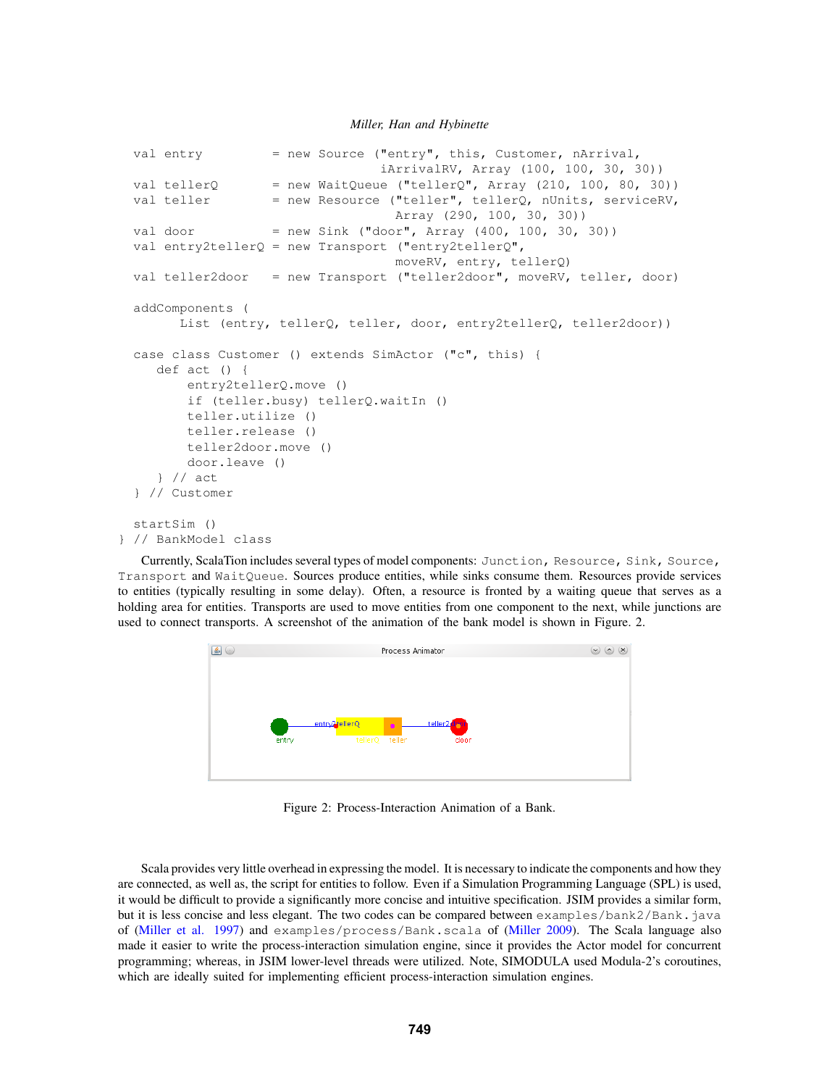```
Miller, Han and Hybinette
```

```
val entry = new Source ("entry", this, Customer, nArrival,
                                 iArrivalRV, Array (100, 100, 30, 30))
 val tellerQ = new WaitQueue ("tellerQ", Array (210, 100, 80, 30))
 val teller = new Resource ("teller", tellerQ, nUnits, serviceRV,
                                   Array (290, 100, 30, 30))
 val door = new Sink ("door", Array (400, 100, 30, 30))
 val entry2tellerQ = new Transport ("entry2tellerQ",
                                   moveRV, entry, tellerQ)
 val teller2door = new Transport ("teller2door", moveRV, teller, door)
 addComponents (
       List (entry, tellerQ, teller, door, entry2tellerQ, teller2door))
 case class Customer () extends SimActor ("c", this) {
    def act () {
        entry2tellerQ.move ()
        if (teller.busy) tellerQ.waitIn ()
        teller.utilize ()
        teller.release ()
        teller2door.move ()
        door.leave ()
    } // act
 } // Customer
 startSim ()
} // BankModel class
```
Currently, ScalaTion includes several types of model components: Junction, Resource, Sink, Source, Transport and WaitQueue. Sources produce entities, while sinks consume them. Resources provide services to entities (typically resulting in some delay). Often, a resource is fronted by a waiting queue that serves as a holding area for entities. Transports are used to move entities from one component to the next, while junctions are used to connect transports. A screenshot of the animation of the bank model is shown in Figure. 2.



Figure 2: Process-Interaction Animation of a Bank.

Scala provides very little overhead in expressing the model. It is necessary to indicate the components and how they are connected, as well as, the script for entities to follow. Even if a Simulation Programming Language (SPL) is used, it would be difficult to provide a significantly more concise and intuitive specification. JSIM provides a similar form, but it is less concise and less elegant. The two codes can be compared between examples/bank2/Bank.java of (Miller et al. 1997) and examples/process/Bank.scala of (Miller 2009). The Scala language also made it easier to write the process-interaction simulation engine, since it provides the Actor model for concurrent programming; whereas, in JSIM lower-level threads were utilized. Note, SIMODULA used Modula-2's coroutines, which are ideally suited for implementing efficient process-interaction simulation engines.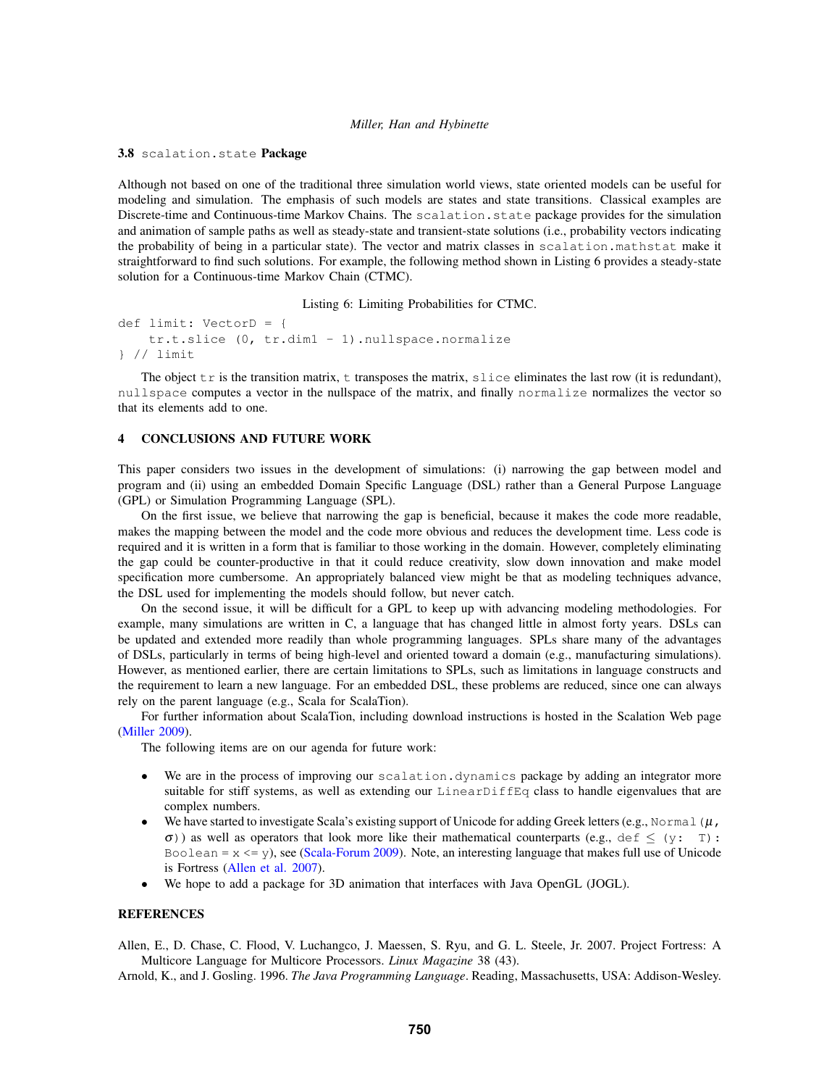### 3.8 scalation.state Package

Although not based on one of the traditional three simulation world views, state oriented models can be useful for modeling and simulation. The emphasis of such models are states and state transitions. Classical examples are Discrete-time and Continuous-time Markov Chains. The scalation.state package provides for the simulation and animation of sample paths as well as steady-state and transient-state solutions (i.e., probability vectors indicating the probability of being in a particular state). The vector and matrix classes in scalation.mathstat make it straightforward to find such solutions. For example, the following method shown in Listing 6 provides a steady-state solution for a Continuous-time Markov Chain (CTMC).

Listing 6: Limiting Probabilities for CTMC.

```
def limit: VectorD = {
    tr.t.slice (0, tr.dim1 - 1).nullspace.normalize
} // limit
```
The object  $\pm r$  is the transition matrix,  $\pm$  transposes the matrix,  $\pm$  is eliminates the last row (it is redundant), nullspace computes a vector in the nullspace of the matrix, and finally normalize normalizes the vector so that its elements add to one.

# 4 CONCLUSIONS AND FUTURE WORK

This paper considers two issues in the development of simulations: (i) narrowing the gap between model and program and (ii) using an embedded Domain Specific Language (DSL) rather than a General Purpose Language (GPL) or Simulation Programming Language (SPL).

On the first issue, we believe that narrowing the gap is beneficial, because it makes the code more readable, makes the mapping between the model and the code more obvious and reduces the development time. Less code is required and it is written in a form that is familiar to those working in the domain. However, completely eliminating the gap could be counter-productive in that it could reduce creativity, slow down innovation and make model specification more cumbersome. An appropriately balanced view might be that as modeling techniques advance, the DSL used for implementing the models should follow, but never catch.

On the second issue, it will be difficult for a GPL to keep up with advancing modeling methodologies. For example, many simulations are written in C, a language that has changed little in almost forty years. DSLs can be updated and extended more readily than whole programming languages. SPLs share many of the advantages of DSLs, particularly in terms of being high-level and oriented toward a domain (e.g., manufacturing simulations). However, as mentioned earlier, there are certain limitations to SPLs, such as limitations in language constructs and the requirement to learn a new language. For an embedded DSL, these problems are reduced, since one can always rely on the parent language (e.g., Scala for ScalaTion).

For further information about ScalaTion, including download instructions is hosted in the Scalation Web page (Miller 2009).

The following items are on our agenda for future work:

- We are in the process of improving our scalation.dynamics package by adding an integrator more suitable for stiff systems, as well as extending our LinearDiffEq class to handle eigenvalues that are complex numbers.
- We have started to investigate Scala's existing support of Unicode for adding Greek letters (e.g., Normal  $(\mu, \mu)$ ) σ)) as well as operators that look more like their mathematical counterparts (e.g., def  $\leq$  (y: T): Boolean =  $x \le y$ ), see (Scala-Forum 2009). Note, an interesting language that makes full use of Unicode is Fortress (Allen et al. 2007).
- We hope to add a package for 3D animation that interfaces with Java OpenGL (JOGL).

# **REFERENCES**

Allen, E., D. Chase, C. Flood, V. Luchangco, J. Maessen, S. Ryu, and G. L. Steele, Jr. 2007. Project Fortress: A Multicore Language for Multicore Processors. *Linux Magazine* 38 (43).

Arnold, K., and J. Gosling. 1996. *The Java Programming Language*. Reading, Massachusetts, USA: Addison-Wesley.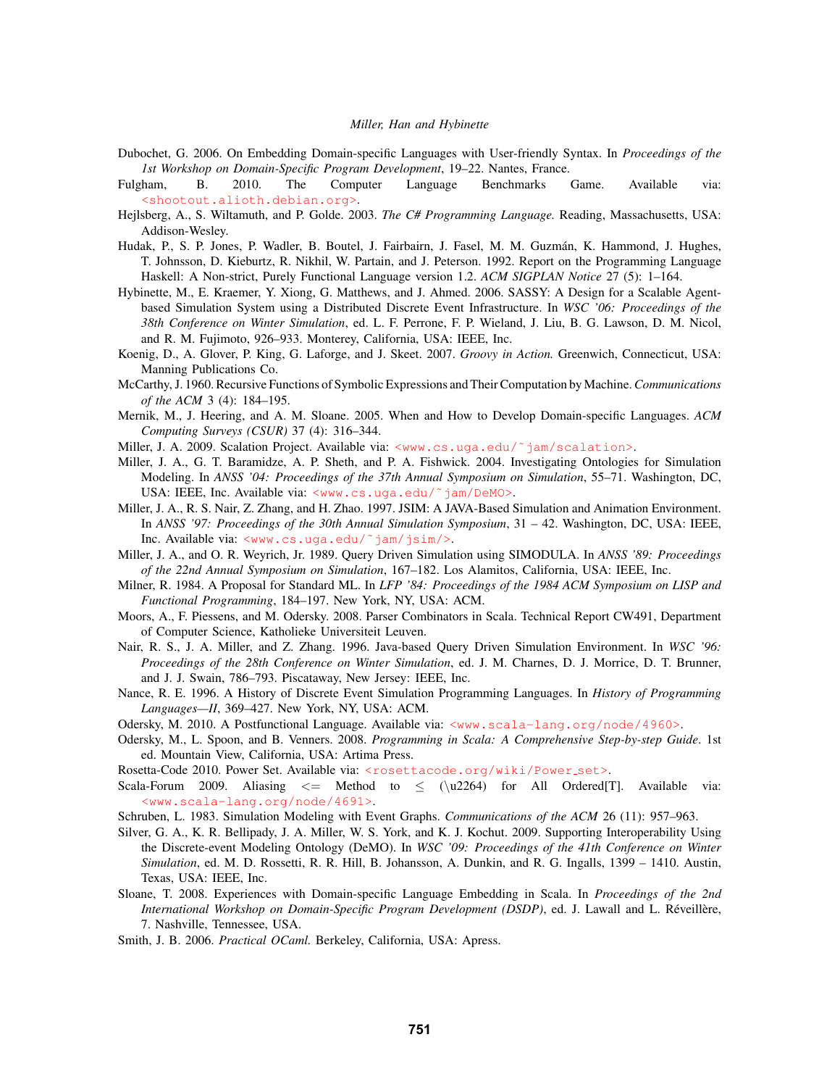- Dubochet, G. 2006. On Embedding Domain-specific Languages with User-friendly Syntax. In *Proceedings of the 1st Workshop on Domain-Specific Program Development*, 19–22. Nantes, France.
- Fulgham, B. 2010. The Computer Language Benchmarks Game. Available via: <shootout.alioth.debian.org>.
- Hejlsberg, A., S. Wiltamuth, and P. Golde. 2003. *The C# Programming Language.* Reading, Massachusetts, USA: Addison-Wesley.
- Hudak, P., S. P. Jones, P. Wadler, B. Boutel, J. Fairbairn, J. Fasel, M. M. Guzmán, K. Hammond, J. Hughes, T. Johnsson, D. Kieburtz, R. Nikhil, W. Partain, and J. Peterson. 1992. Report on the Programming Language Haskell: A Non-strict, Purely Functional Language version 1.2. *ACM SIGPLAN Notice* 27 (5): 1–164.
- Hybinette, M., E. Kraemer, Y. Xiong, G. Matthews, and J. Ahmed. 2006. SASSY: A Design for a Scalable Agentbased Simulation System using a Distributed Discrete Event Infrastructure. In *WSC '06: Proceedings of the 38th Conference on Winter Simulation*, ed. L. F. Perrone, F. P. Wieland, J. Liu, B. G. Lawson, D. M. Nicol, and R. M. Fujimoto, 926–933. Monterey, California, USA: IEEE, Inc.
- Koenig, D., A. Glover, P. King, G. Laforge, and J. Skeet. 2007. *Groovy in Action.* Greenwich, Connecticut, USA: Manning Publications Co.
- McCarthy, J. 1960. Recursive Functions of Symbolic Expressions and Their Computation by Machine.*Communications of the ACM* 3 (4): 184–195.
- Mernik, M., J. Heering, and A. M. Sloane. 2005. When and How to Develop Domain-specific Languages. *ACM Computing Surveys (CSUR)* 37 (4): 316–344.
- Miller, J. A. 2009. Scalation Project. Available via: <www.cs.uga.edu/~jam/scalation>.
- Miller, J. A., G. T. Baramidze, A. P. Sheth, and P. A. Fishwick. 2004. Investigating Ontologies for Simulation Modeling. In *ANSS '04: Proceedings of the 37th Annual Symposium on Simulation*, 55–71. Washington, DC, USA: IEEE, Inc. Available via: <www.cs.uga.edu/˜jam/DeMO>.
- Miller, J. A., R. S. Nair, Z. Zhang, and H. Zhao. 1997. JSIM: A JAVA-Based Simulation and Animation Environment. In *ANSS '97: Proceedings of the 30th Annual Simulation Symposium*, 31 – 42. Washington, DC, USA: IEEE, Inc. Available via: <www.cs.uga.edu/˜jam/jsim/>.
- Miller, J. A., and O. R. Weyrich, Jr. 1989. Query Driven Simulation using SIMODULA. In *ANSS '89: Proceedings of the 22nd Annual Symposium on Simulation*, 167–182. Los Alamitos, California, USA: IEEE, Inc.
- Milner, R. 1984. A Proposal for Standard ML. In *LFP '84: Proceedings of the 1984 ACM Symposium on LISP and Functional Programming*, 184–197. New York, NY, USA: ACM.
- Moors, A., F. Piessens, and M. Odersky. 2008. Parser Combinators in Scala. Technical Report CW491, Department of Computer Science, Katholieke Universiteit Leuven.
- Nair, R. S., J. A. Miller, and Z. Zhang. 1996. Java-based Query Driven Simulation Environment. In *WSC '96: Proceedings of the 28th Conference on Winter Simulation*, ed. J. M. Charnes, D. J. Morrice, D. T. Brunner, and J. J. Swain, 786–793. Piscataway, New Jersey: IEEE, Inc.
- Nance, R. E. 1996. A History of Discrete Event Simulation Programming Languages. In *History of Programming Languages—II*, 369–427. New York, NY, USA: ACM.
- Odersky, M. 2010. A Postfunctional Language. Available via: <www.scala-lang.org/node/4960>.
- Odersky, M., L. Spoon, and B. Venners. 2008. *Programming in Scala: A Comprehensive Step-by-step Guide*. 1st ed. Mountain View, California, USA: Artima Press.
- Rosetta-Code 2010. Power Set. Available via: <rosettacode.org/wiki/Power\_set>.
- Scala-Forum 2009. Aliasing  $\leq$  Method to  $\leq$  (\u2264) for All Ordered[T]. Available via: <www.scala-lang.org/node/4691>.
- Schruben, L. 1983. Simulation Modeling with Event Graphs. *Communications of the ACM* 26 (11): 957–963.
- Silver, G. A., K. R. Bellipady, J. A. Miller, W. S. York, and K. J. Kochut. 2009. Supporting Interoperability Using the Discrete-event Modeling Ontology (DeMO). In *WSC '09: Proceedings of the 41th Conference on Winter Simulation*, ed. M. D. Rossetti, R. R. Hill, B. Johansson, A. Dunkin, and R. G. Ingalls, 1399 – 1410. Austin, Texas, USA: IEEE, Inc.
- Sloane, T. 2008. Experiences with Domain-specific Language Embedding in Scala. In *Proceedings of the 2nd International Workshop on Domain-Specific Program Development (DSDP)*, ed. J. Lawall and L. Réveillère, 7. Nashville, Tennessee, USA.
- Smith, J. B. 2006. *Practical OCaml.* Berkeley, California, USA: Apress.